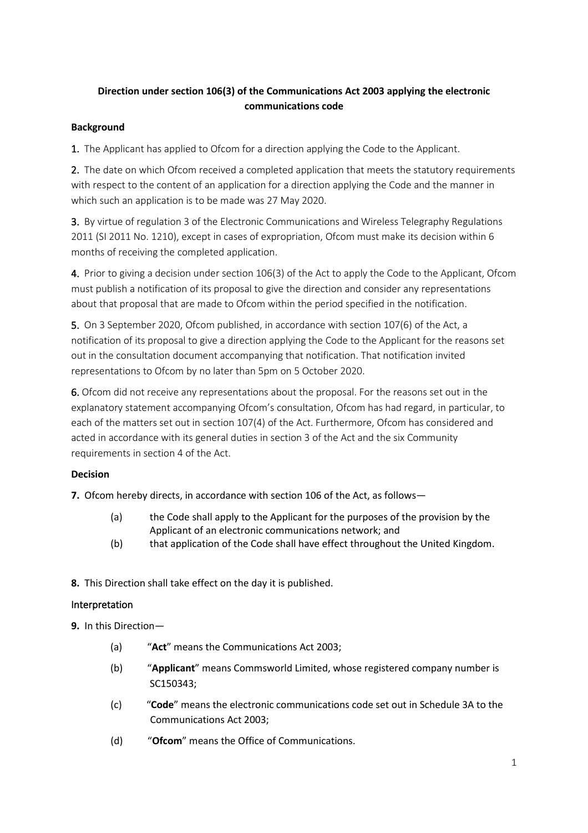# **Direction under section 106(3) of the Communications Act 2003 applying the electronic communications code**

### **Background**

1. The Applicant has applied to Ofcom for a direction applying the Code to the Applicant.

2. The date on which Ofcom received a completed application that meets the statutory requirements with respect to the content of an application for a direction applying the Code and the manner in which such an application is to be made was 27 May 2020.

3. By virtue of regulation 3 of the Electronic Communications and Wireless Telegraphy Regulations 2011 (SI 2011 No. 1210), except in cases of expropriation, Ofcom must make its decision within 6 months of receiving the completed application.

4. Prior to giving a decision under section 106(3) of the Act to apply the Code to the Applicant, Ofcom must publish a notification of its proposal to give the direction and consider any representations about that proposal that are made to Ofcom within the period specified in the notification.

5. On 3 September 2020, Ofcom published, in accordance with section 107(6) of the Act, a notification of its proposal to give a direction applying the Code to the Applicant for the reasons set out in the consultation document accompanying that notification. That notification invited representations to Ofcom by no later than 5pm on 5 October 2020.

6. Ofcom did not receive any representations about the proposal. For the reasons set out in the explanatory statement accompanying Ofcom's consultation, Ofcom has had regard, in particular, to each of the matters set out in section 107(4) of the Act. Furthermore, Ofcom has considered and acted in accordance with its general duties in section 3 of the Act and the six Community requirements in section 4 of the Act.

## **Decision**

**7.** Ofcom hereby directs, in accordance with section 106 of the Act, as follows—

- (a) the Code shall apply to the Applicant for the purposes of the provision by the Applicant of an electronic communications network; and
- (b) that application of the Code shall have effect throughout the United Kingdom.
- **8.** This Direction shall take effect on the day it is published.

### Interpretation

**9.** In this Direction—

- (a) "**Act**" means the Communications Act 2003;
- (b) "**Applicant**" means Commsworld Limited, whose registered company number is SC150343;
- (c) "**Code**" means the electronic communications code set out in Schedule 3A to the Communications Act 2003;
- (d) "**Ofcom**" means the Office of Communications.